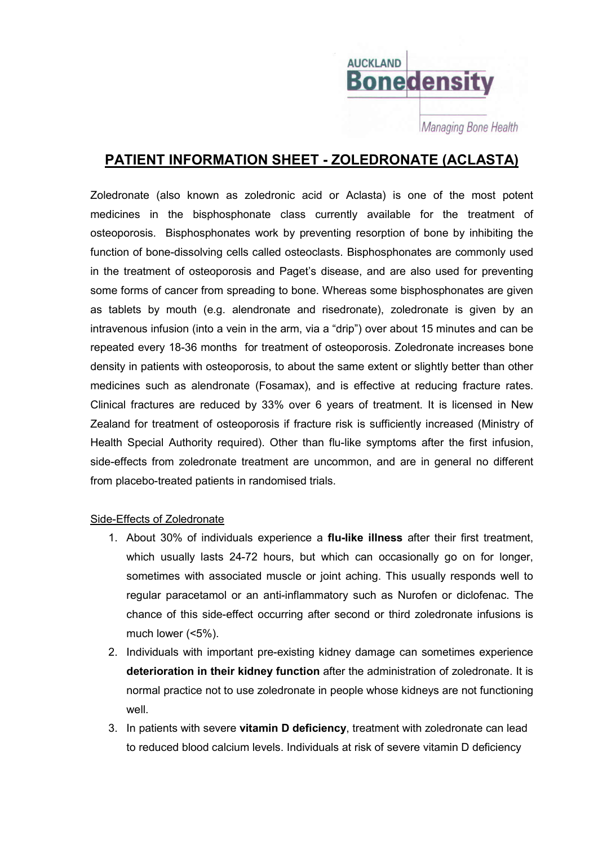

**PATIENT INFORMATION SHEET - ZOLEDRONATE (ACLASTA)**

Zoledronate (also known as zoledronic acid or Aclasta) is one of the most potent medicines in the bisphosphonate class currently available for the treatment of osteoporosis. Bisphosphonates work by preventing resorption of bone by inhibiting the function of bone-dissolving cells called osteoclasts. Bisphosphonates are commonly used in the treatment of osteoporosis and Paget's disease, and are also used for preventing some forms of cancer from spreading to bone. Whereas some bisphosphonates are given as tablets by mouth (e.g. alendronate and risedronate), zoledronate is given by an intravenous infusion (into a vein in the arm, via a "drip") over about 15 minutes and can be repeated every 18-36 months for treatment of osteoporosis. Zoledronate increases bone density in patients with osteoporosis, to about the same extent or slightly better than other medicines such as alendronate (Fosamax), and is effective at reducing fracture rates. Clinical fractures are reduced by 33% over 6 years of treatment. It is licensed in New Zealand for treatment of osteoporosis if fracture risk is sufficiently increased (Ministry of Health Special Authority required). Other than flu-like symptoms after the first infusion, side-effects from zoledronate treatment are uncommon, and are in general no different from placebo-treated patients in randomised trials.

## Side-Effects of Zoledronate

- 1. About 30% of individuals experience a **flu-like illness** after their first treatment, which usually lasts 24-72 hours, but which can occasionally go on for longer, sometimes with associated muscle or joint aching. This usually responds well to regular paracetamol or an anti-inflammatory such as Nurofen or diclofenac. The chance of this side-effect occurring after second or third zoledronate infusions is much lower (<5%).
- 2. Individuals with important pre-existing kidney damage can sometimes experience **deterioration in their kidney function** after the administration of zoledronate. It is normal practice not to use zoledronate in people whose kidneys are not functioning well.
- 3. In patients with severe **vitamin D deficiency**, treatment with zoledronate can lead to reduced blood calcium levels. Individuals at risk of severe vitamin D deficiency